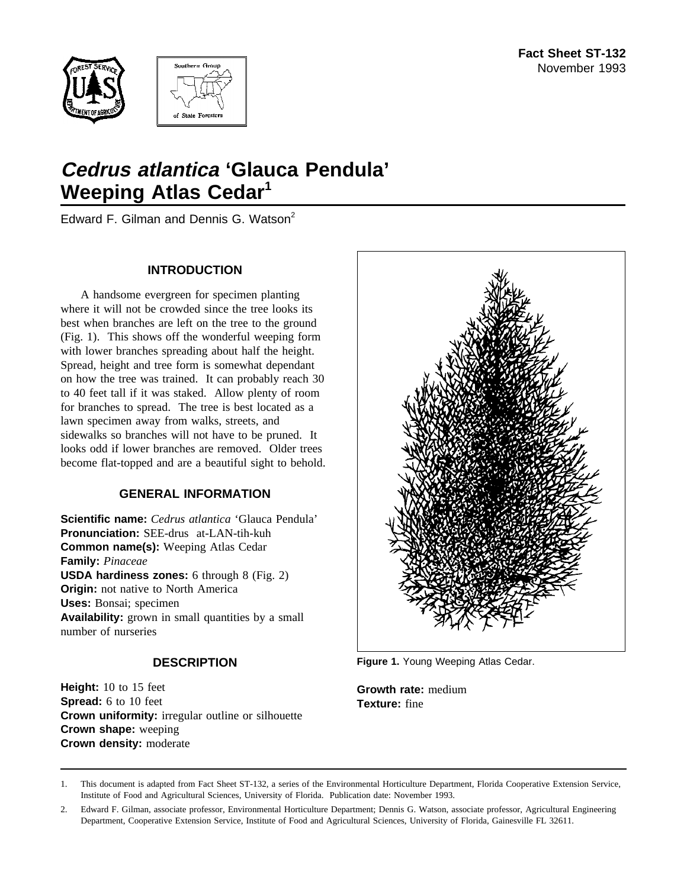



# **Cedrus atlantica 'Glauca Pendula' Weeping Atlas Cedar<sup>1</sup>**

Edward F. Gilman and Dennis G. Watson<sup>2</sup>

### **INTRODUCTION**

A handsome evergreen for specimen planting where it will not be crowded since the tree looks its best when branches are left on the tree to the ground (Fig. 1). This shows off the wonderful weeping form with lower branches spreading about half the height. Spread, height and tree form is somewhat dependant on how the tree was trained. It can probably reach 30 to 40 feet tall if it was staked. Allow plenty of room for branches to spread. The tree is best located as a lawn specimen away from walks, streets, and sidewalks so branches will not have to be pruned. It looks odd if lower branches are removed. Older trees become flat-topped and are a beautiful sight to behold.

### **GENERAL INFORMATION**

**Scientific name:** *Cedrus atlantica* 'Glauca Pendula' **Pronunciation:** SEE-drus at-LAN-tih-kuh **Common name(s):** Weeping Atlas Cedar **Family:** *Pinaceae* **USDA hardiness zones:** 6 through 8 (Fig. 2) **Origin:** not native to North America **Uses:** Bonsai; specimen **Availability:** grown in small quantities by a small number of nurseries

### **DESCRIPTION**

**Height:** 10 to 15 feet **Spread:** 6 to 10 feet **Crown uniformity:** irregular outline or silhouette **Crown shape:** weeping **Crown density:** moderate



**Figure 1.** Young Weeping Atlas Cedar.

**Growth rate:** medium **Texture:** fine

1. This document is adapted from Fact Sheet ST-132, a series of the Environmental Horticulture Department, Florida Cooperative Extension Service, Institute of Food and Agricultural Sciences, University of Florida. Publication date: November 1993.

<sup>2.</sup> Edward F. Gilman, associate professor, Environmental Horticulture Department; Dennis G. Watson, associate professor, Agricultural Engineering Department, Cooperative Extension Service, Institute of Food and Agricultural Sciences, University of Florida, Gainesville FL 32611.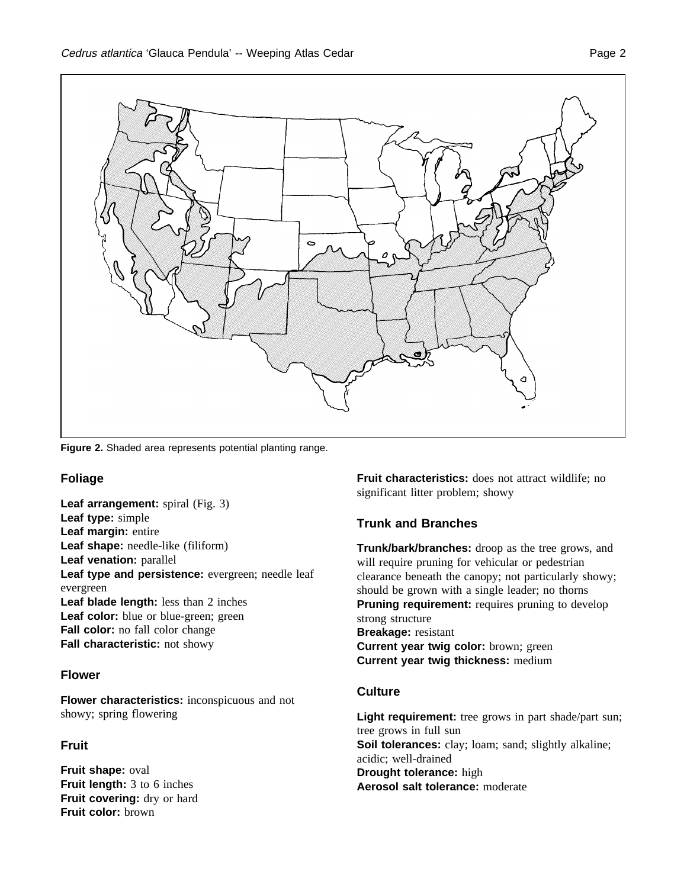

**Figure 2.** Shaded area represents potential planting range.

### **Foliage**

**Leaf arrangement:** spiral (Fig. 3) **Leaf type:** simple **Leaf margin:** entire **Leaf shape:** needle-like (filiform) **Leaf venation:** parallel Leaf type and persistence: evergreen; needle leaf evergreen **Leaf blade length:** less than 2 inches Leaf color: blue or blue-green; green **Fall color:** no fall color change **Fall characteristic:** not showy

## **Flower**

**Flower characteristics:** inconspicuous and not showy; spring flowering

# **Fruit**

**Fruit shape:** oval **Fruit length:** 3 to 6 inches **Fruit covering:** dry or hard **Fruit color:** brown

**Fruit characteristics:** does not attract wildlife; no significant litter problem; showy

# **Trunk and Branches**

**Trunk/bark/branches:** droop as the tree grows, and will require pruning for vehicular or pedestrian clearance beneath the canopy; not particularly showy; should be grown with a single leader; no thorns **Pruning requirement:** requires pruning to develop strong structure **Breakage:** resistant **Current year twig color:** brown; green **Current year twig thickness:** medium

## **Culture**

Light requirement: tree grows in part shade/part sun; tree grows in full sun Soil tolerances: clay; loam; sand; slightly alkaline; acidic; well-drained **Drought tolerance:** high **Aerosol salt tolerance:** moderate